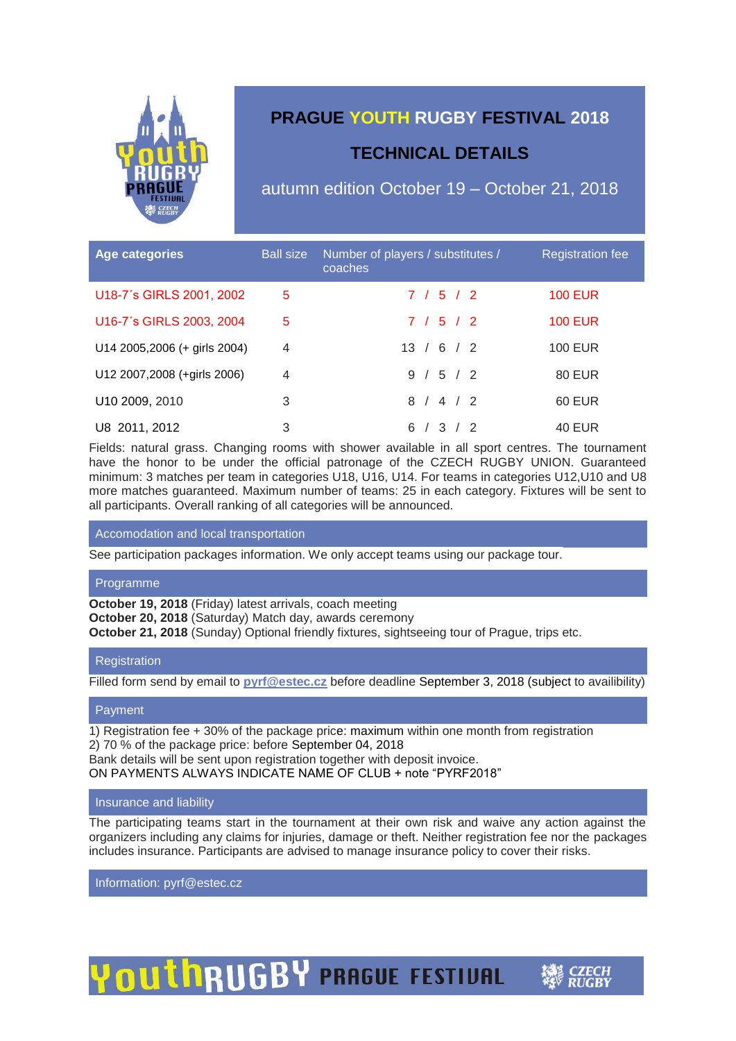

## **PRAGUE YOUTH RUGBY FESTIVAL 2018**

## **TECHNICAL DETAILS**

autumn edition October 19 – October 21, 2018

| Age categories               | <b>Ball size</b> | Number of players / substitutes /<br>coaches | <b>Registration fee</b> |
|------------------------------|------------------|----------------------------------------------|-------------------------|
| U18-7's GIRLS 2001, 2002     | 5                | 7 / 5 / 2                                    | <b>100 EUR</b>          |
| U16-7's GIRLS 2003, 2004     | 5                | 7/5/2                                        | <b>100 EUR</b>          |
| U14 2005,2006 (+ girls 2004) | $\overline{4}$   | 13 / 6 / 2                                   | <b>100 EUR</b>          |
| U12 2007, 2008 (+girls 2006) | $\overline{4}$   | 9 / 5 / 2                                    | 80 EUR                  |
| U10 2009, 2010               | 3                | 8 / 4 / 2                                    | 60 EUR                  |
| U8 2011, 2012                | 3                | 6 /<br>3 / 2                                 | <b>40 EUR</b>           |

Fields: natural grass. Changing rooms with shower available in all sport centres. The tournament have the honor to be under the official patronage of the CZECH RUGBY UNION. Guaranteed minimum: 3 matches per team in categories U18, U16, U14. For teams in categories U12,U10 and U8 more matches guaranteed. Maximum number of teams: 25 in each category. Fixtures will be sent to all participants. Overall ranking of all categories will be announced.

#### Accomodation and local transportation

See participation packages information. We only accept teams using our package tour.

#### Programme

**October 19, 2018** (Friday) latest arrivals, coach meeting

**October 20, 2018** (Saturday) Match day, awards ceremony

**October 21, 2018** (Sunday) Optional friendly fixtures, sightseeing tour of Prague, trips etc.

#### **Registration**

Filled form send by email to **[pyrf@estec.cz](mailto:pyrf@estec.cz)** before deadline September 3, 2018 (subject to availibility)

#### Payment

1) Registration fee + 30% of the package price: maximum within one month from registration 2) 70 % of the package price: before September 04, 2018 Bank details will be sent upon registration together with deposit invoice. ON PAYMENTS ALWAYS INDICATE NAME OF CLUB + note "PYRF2018"

#### Insurance and liability

The participating teams start in the tournament at their own risk and waive any action against the organizers including any claims for injuries, damage or theft. Neither registration fee nor the packages includes insurance. Participants are advised to manage insurance policy to cover their risks.

Information: pyrf@estec.cz

**OUTHRUGBY PRAGUE FESTIVAL**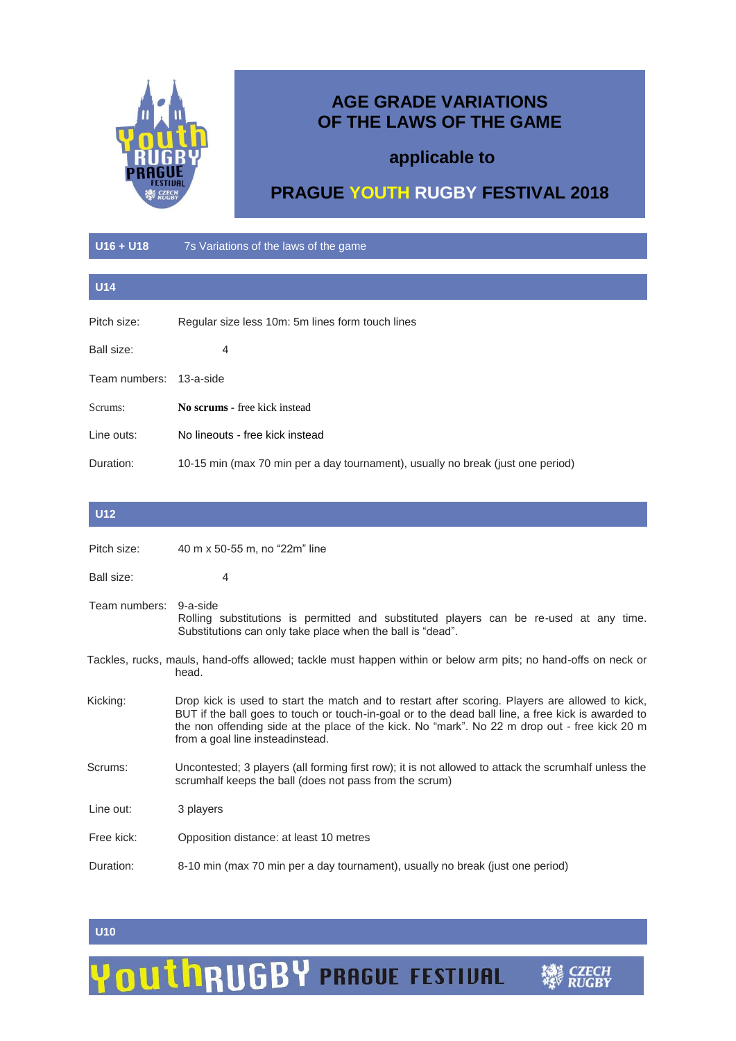

## **AGE GRADE VARIATIONS OF THE LAWS OF THE GAME**

## **applicable to**

# **PRAGUE YOUTH RUGBY FESTIVAL 2018**

### **U16 + U18** 7s Variations of the laws of the game

| <b>U14</b>    |                                                                                 |
|---------------|---------------------------------------------------------------------------------|
| Pitch size:   | Regular size less 10m: 5m lines form touch lines                                |
| Ball size:    | 4                                                                               |
| Team numbers: | 13-a-side                                                                       |
| Scrums:       | No scrums - free kick instead                                                   |
| Line outs:    | No lineouts - free kick instead                                                 |
| Duration:     | 10-15 min (max 70 min per a day tournament), usually no break (just one period) |

| <b>U12</b>                                                                                                              |                                                                                                                                                                                                                                                                                                                                            |  |
|-------------------------------------------------------------------------------------------------------------------------|--------------------------------------------------------------------------------------------------------------------------------------------------------------------------------------------------------------------------------------------------------------------------------------------------------------------------------------------|--|
| Pitch size:                                                                                                             | 40 m x 50-55 m, no "22m" line                                                                                                                                                                                                                                                                                                              |  |
| Ball size:                                                                                                              | $\overline{4}$                                                                                                                                                                                                                                                                                                                             |  |
| Team numbers:                                                                                                           | 9-a-side<br>Rolling substitutions is permitted and substituted players can be re-used at any time.<br>Substitutions can only take place when the ball is "dead".                                                                                                                                                                           |  |
| Tackles, rucks, mauls, hand-offs allowed; tackle must happen within or below arm pits; no hand-offs on neck or<br>head. |                                                                                                                                                                                                                                                                                                                                            |  |
| Kicking:                                                                                                                | Drop kick is used to start the match and to restart after scoring. Players are allowed to kick,<br>BUT if the ball goes to touch or touch-in-goal or to the dead ball line, a free kick is awarded to<br>the non offending side at the place of the kick. No "mark". No 22 m drop out - free kick 20 m<br>from a goal line insteadinstead. |  |
| Scrums:                                                                                                                 | Uncontested; 3 players (all forming first row); it is not allowed to attack the scrumhalf unless the<br>scrumhalf keeps the ball (does not pass from the scrum)                                                                                                                                                                            |  |
| Line out:                                                                                                               | 3 players                                                                                                                                                                                                                                                                                                                                  |  |
| Free kick:                                                                                                              | Opposition distance: at least 10 metres                                                                                                                                                                                                                                                                                                    |  |
| Duration:                                                                                                               | 8-10 min (max 70 min per a day tournament), usually no break (just one period)                                                                                                                                                                                                                                                             |  |

#### **U10**

## OUThRUGBY PRAGUE FESTIVAL Y